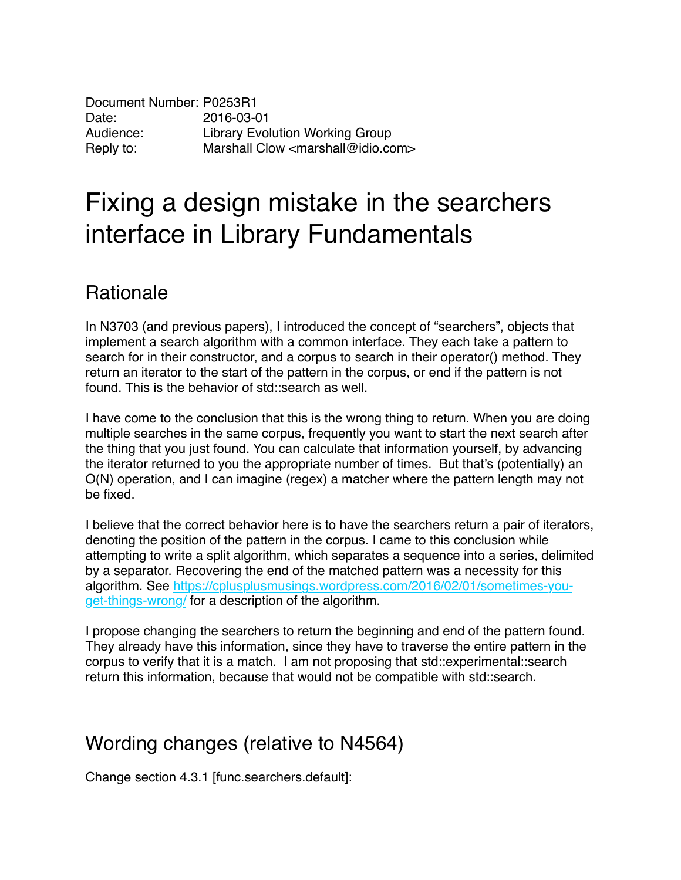Document Number: P0253R1 Date: 2016-03-01 Audience: Library Evolution Working Group Reply to: Marshall Clow <marshall@idio.com>

## Fixing a design mistake in the searchers interface in Library Fundamentals

## Rationale

In N3703 (and previous papers), I introduced the concept of "searchers", objects that implement a search algorithm with a common interface. They each take a pattern to search for in their constructor, and a corpus to search in their operator() method. They return an iterator to the start of the pattern in the corpus, or end if the pattern is not found. This is the behavior of std::search as well.

I have come to the conclusion that this is the wrong thing to return. When you are doing multiple searches in the same corpus, frequently you want to start the next search after the thing that you just found. You can calculate that information yourself, by advancing the iterator returned to you the appropriate number of times. But that's (potentially) an O(N) operation, and I can imagine (regex) a matcher where the pattern length may not be fixed.

I believe that the correct behavior here is to have the searchers return a pair of iterators, denoting the position of the pattern in the corpus. I came to this conclusion while attempting to write a split algorithm, which separates a sequence into a series, delimited by a separator. Recovering the end of the matched pattern was a necessity for this algorithm. See https://cplusplusmusings.wordpress.com/2016/02/01/sometimes-youget-things-wrong/ for a description of the algorithm.

I propose changing the searchers to return the beginning and end of the pattern found. They already have this information, since they have to traverse the entire pattern in the corpus to verify that it is a match. I am not proposing that std::experimental::search return this information, because that would not be compatible with std::search.

## Wording changes (relative to N4564)

Change section 4.3.1 [func.searchers.default]: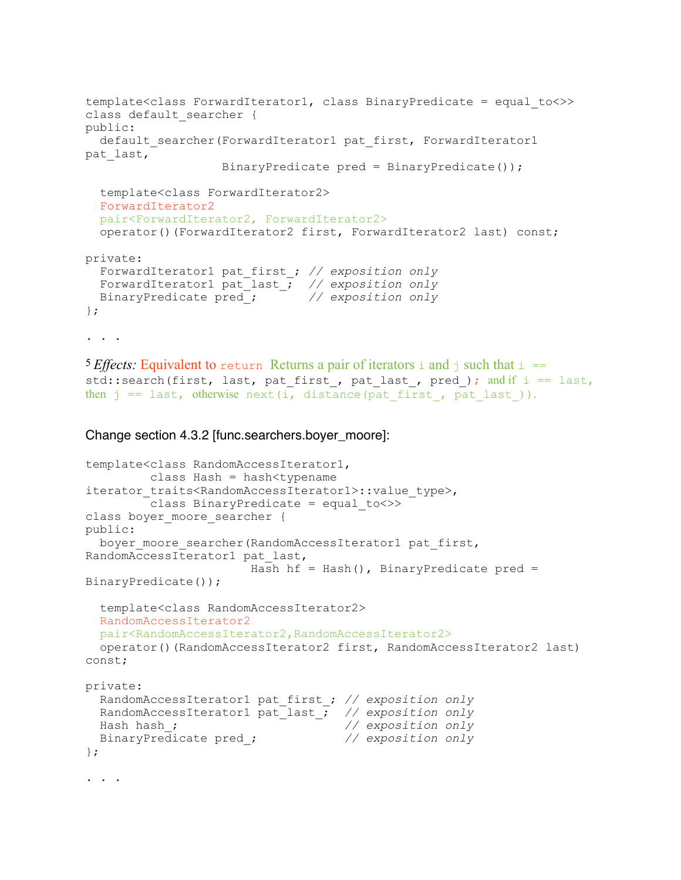```
template<class ForwardIterator1, class BinaryPredicate = equal_to<>>
class default searcher {
public:
  default searcher(ForwardIterator1 pat first, ForwardIterator1
pat_last,
                    BinaryPredicate pred = BinaryPredicate());
   template<class ForwardIterator2>
   ForwardIterator2
   pair<ForwardIterator2, ForwardIterator2>
   operator()(ForwardIterator2 first, ForwardIterator2 last) const;
private:
   ForwardIterator1 pat_first_; // exposition only 
 ForwardIterator1 pat_last_; // exposition only 
 BinaryPredicate pred_; // exposition only
};
. . .
5 Effects: Equivalent to return Returns a pair of iterators i and j such that i ==
std::search(first, last, pat first, pat last, pred ); and if i = last,
```
then  $j == last$ , otherwise next(i, distance(pat first, pat last)).

```
Change section 4.3.2 [func.searchers.boyer_moore]:
```

```
template<class RandomAccessIterator1,
         class Hash = hash<typename 
iterator traits<RandomAccessIterator1>::value type>,
          class BinaryPredicate = equal_to<>>
class boyer moore searcher {
public:
 boyer moore searcher(RandomAccessIterator1 pat first,
RandomAccessIterator1 pat_last,
                      Hash hf = Hash(), BinaryPredicate pred =
BinaryPredicate());
   template<class RandomAccessIterator2>
  RandomAccessIterator2
  pair<RandomAccessIterator2,RandomAccessIterator2>
  operator()(RandomAccessIterator2 first, RandomAccessIterator2 last) 
const;
private:
  RandomAccessIterator1 pat_first_; // exposition only
  RandomAccessIterator1 pat_last_; // exposition only
  Hash hash_; // exposition only 
  BinaryPredicate pred_; // exposition only
};
. . .
```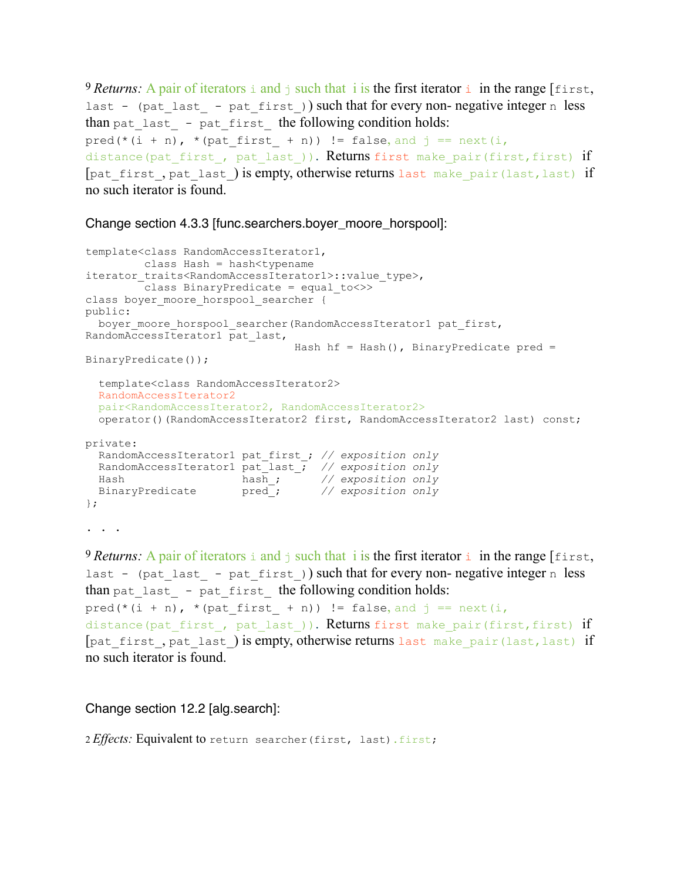<sup>9</sup> *Returns*: A pair of iterators i and j such that i is the first iterator i in the range [first, last - (pat last - pat first)) such that for every non- negative integer n less than pat\_last\_ - pat\_first\_ the following condition holds:  $pred(*(i + n), *(pat\_first + n)) != false, and j == next(i,$ distance(pat first, pat last)). Returns first make pair(first, first) if [pat first, pat last) is empty, otherwise returns last make pair(last, last) if no such iterator is found.

Change section 4.3.3 [func.searchers.boyer\_moore\_horspool]:

```
template<class RandomAccessIterator1,
         class Hash = hash<typename 
iterator_traits<RandomAccessIterator1>::value_type>,
       class BinaryPredicate = equal to <>>
class boyer moore horspool searcher {
public:
 boyer moore horspool searcher(RandomAccessIterator1 pat first,
RandomAccessIterator1 pat_last,
                               Hash hf = Hash(), BinaryPredicate pred =
BinaryPredicate());
  template<class RandomAccessIterator2>
  RandomAccessIterator2
  pair<RandomAccessIterator2, RandomAccessIterator2>
  operator()(RandomAccessIterator2 first, RandomAccessIterator2 last) const;
private:
  RandomAccessIterator1 pat_first_; // exposition only 
 RandomAccessIterator1 pat_last_; // exposition only
 Hash hash_; // exposition only
 BinaryPredicate pred_; // exposition only
};
. . .
```
<sup>9</sup> *Returns*: A pair of iterators i and j such that i is the first iterator i in the range [first, last - (pat last - pat first)) such that for every non- negative integer n less than pat\_last - pat\_first the following condition holds: pred(\*(i + n), \*(pat first + n)) != false, and  $j = \text{next}(i,$ distance(pat first, pat last)). Returns first make pair(first, first) if [pat first, pat last) is empty, otherwise returns last make pair(last, last) if no such iterator is found.

Change section 12.2 [alg.search]:

2 *Effects*: Equivalent to return searcher (first, last).first;